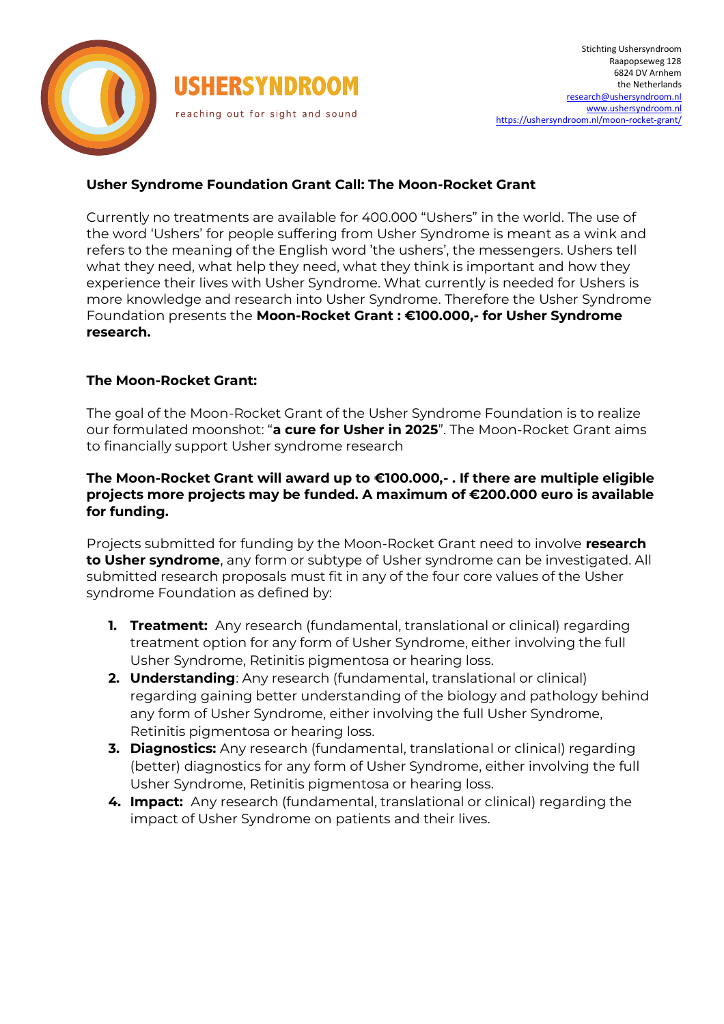

# **Usher Syndrome Foundation Grant Call: The Moon-Rocket Grant**

Currently no treatments are available for 400.000 "Ushers" in the world. The use of the word 'Ushers' for people suffering from Usher Syndrome is meant as a wink and refers to the meaning of the English word 'the ushers', the messengers. Ushers tell what they need, what help they need, what they think is important and how they experience their lives with Usher Syndrome. What currently is needed for Ushers is more knowledge and research into Usher Syndrome. Therefore the Usher Syndrome Foundation presents the **Moon-Rocket Grant : €100.000,- for Usher Syndrome research.**

### **The Moon-Rocket Grant:**

The goal of the Moon-Rocket Grant of the Usher Syndrome Foundation is to realize our formulated moonshot: "**a cure for Usher in 2025**". The Moon-Rocket Grant aims to financially support Usher syndrome research

### **The Moon-Rocket Grant will award up to €100.000,- . If there are multiple eligible projects more projects may be funded. A maximum of €200.000 euro is available for funding.**

Projects submitted for funding by the Moon-Rocket Grant need to involve **research to Usher syndrome**, any form or subtype of Usher syndrome can be investigated. All submitted research proposals must fit in any of the four core values of the Usher syndrome Foundation as defined by:

- **1. Treatment:** Any research (fundamental, translational or clinical) regarding treatment option for any form of Usher Syndrome, either involving the full Usher Syndrome, Retinitis pigmentosa or hearing loss.
- **2. Understanding**: Any research (fundamental, translational or clinical) regarding gaining better understanding of the biology and pathology behind any form of Usher Syndrome, either involving the full Usher Syndrome, Retinitis pigmentosa or hearing loss.
- **3. Diagnostics:** Any research (fundamental, translational or clinical) regarding (better) diagnostics for any form of Usher Syndrome, either involving the full Usher Syndrome, Retinitis pigmentosa or hearing loss.
- **4. Impact:** Any research (fundamental, translational or clinical) regarding the impact of Usher Syndrome on patients and their lives.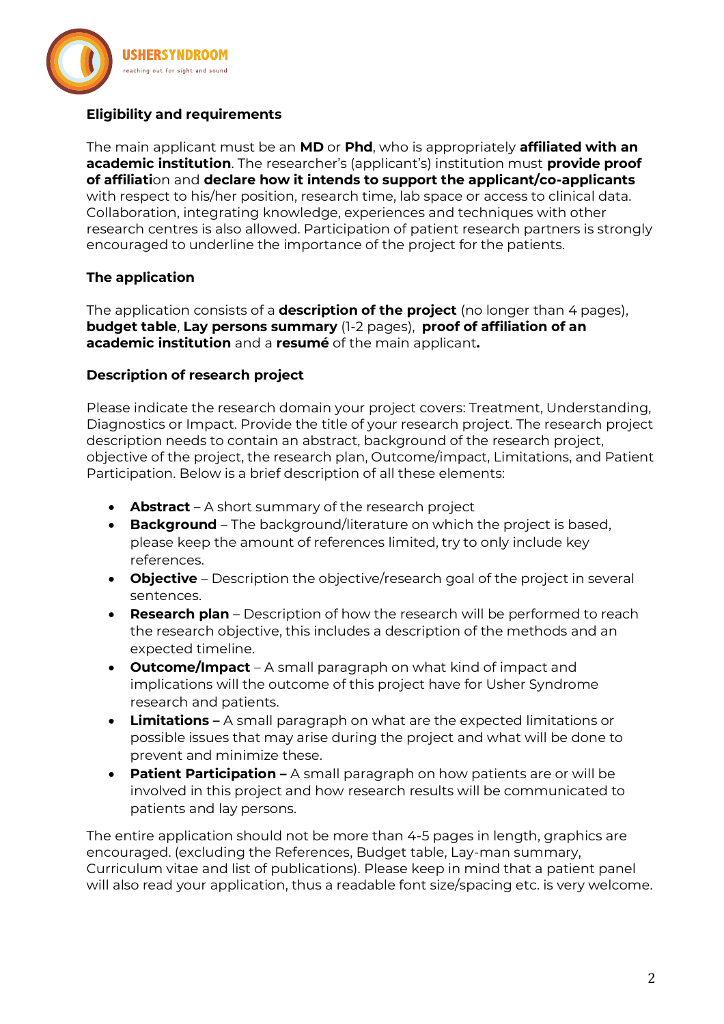

# **Eligibility and requirements**

The main applicant must be an **MD** or **Phd**, who is appropriately **affiliated with an academic institution**. The researcher's (applicant's) institution must **provide proof of affiliati**on and **declare how it intends to support the applicant/co-applicants** with respect to his/her position, research time, lab space or access to clinical data. Collaboration, integrating knowledge, experiences and techniques with other research centres is also allowed. Participation of patient research partners is strongly encouraged to underline the importance of the project for the patients.

### **The application**

The application consists of a **description of the project** (no longer than 4 pages), **budget table**, **Lay persons summary** (1-2 pages), **proof of affiliation of an academic institution** and a **resumé** of the main applicant**.** 

### **Description of research project**

Please indicate the research domain your project covers: Treatment, Understanding, Diagnostics or Impact. Provide the title of your research project. The research project description needs to contain an abstract, background of the research project, objective of the project, the research plan, Outcome/impact, Limitations, and Patient Participation. Below is a brief description of all these elements:

- **Abstract** A short summary of the research project
- **Background** The background/literature on which the project is based, please keep the amount of references limited, try to only include key references.
- **Objective** Description the objective/research goal of the project in several sentences.
- **Research plan** Description of how the research will be performed to reach the research objective, this includes a description of the methods and an expected timeline.
- **Outcome/Impact**  A small paragraph on what kind of impact and implications will the outcome of this project have for Usher Syndrome research and patients.
- **Limitations –** A small paragraph on what are the expected limitations or possible issues that may arise during the project and what will be done to prevent and minimize these.
- **Patient Participation –** A small paragraph on how patients are or will be involved in this project and how research results will be communicated to patients and lay persons.

The entire application should not be more than 4-5 pages in length, graphics are encouraged. (excluding the References, Budget table, Lay-man summary, Curriculum vitae and list of publications). Please keep in mind that a patient panel will also read your application, thus a readable font size/spacing etc. is very welcome.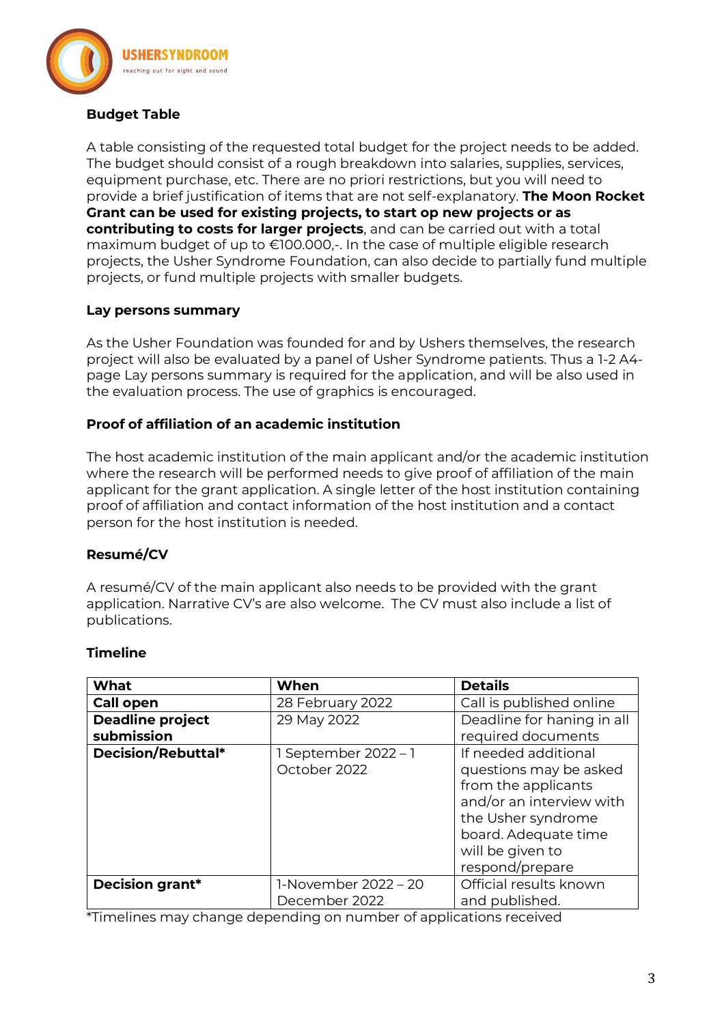

### **Budget Table**

A table consisting of the requested total budget for the project needs to be added. The budget should consist of a rough breakdown into salaries, supplies, services, equipment purchase, etc. There are no priori restrictions, but you will need to provide a brief justification of items that are not self-explanatory. **The Moon Rocket Grant can be used for existing projects, to start op new projects or as contributing to costs for larger projects**, and can be carried out with a total maximum budget of up to €100.000,-. In the case of multiple eligible research projects, the Usher Syndrome Foundation, can also decide to partially fund multiple projects, or fund multiple projects with smaller budgets.

### **Lay persons summary**

As the Usher Foundation was founded for and by Ushers themselves, the research project will also be evaluated by a panel of Usher Syndrome patients. Thus a 1-2 A4 page Lay persons summary is required for the application, and will be also used in the evaluation process. The use of graphics is encouraged.

### **Proof of affiliation of an academic institution**

The host academic institution of the main applicant and/or the academic institution where the research will be performed needs to give proof of affiliation of the main applicant for the grant application. A single letter of the host institution containing proof of affiliation and contact information of the host institution and a contact person for the host institution is needed.

# **Resumé/CV**

A resumé/CV of the main applicant also needs to be provided with the grant application. Narrative CV's are also welcome. The CV must also include a list of publications.

### **Timeline**

| What                    | When                 | <b>Details</b>             |
|-------------------------|----------------------|----------------------------|
| <b>Call open</b>        | 28 February 2022     | Call is published online   |
| <b>Deadline project</b> | 29 May 2022          | Deadline for haning in all |
| submission              |                      | required documents         |
| Decision/Rebuttal*      | 1 September 2022 - 1 | If needed additional       |
|                         | October 2022         | questions may be asked     |
|                         |                      | from the applicants        |
|                         |                      | and/or an interview with   |
|                         |                      | the Usher syndrome         |
|                         |                      | board. Adequate time       |
|                         |                      | will be given to           |
|                         |                      | respond/prepare            |
| <b>Decision grant*</b>  | 1-November 2022 - 20 | Official results known     |
|                         | December 2022        | and published.             |

\*Timelines may change depending on number of applications received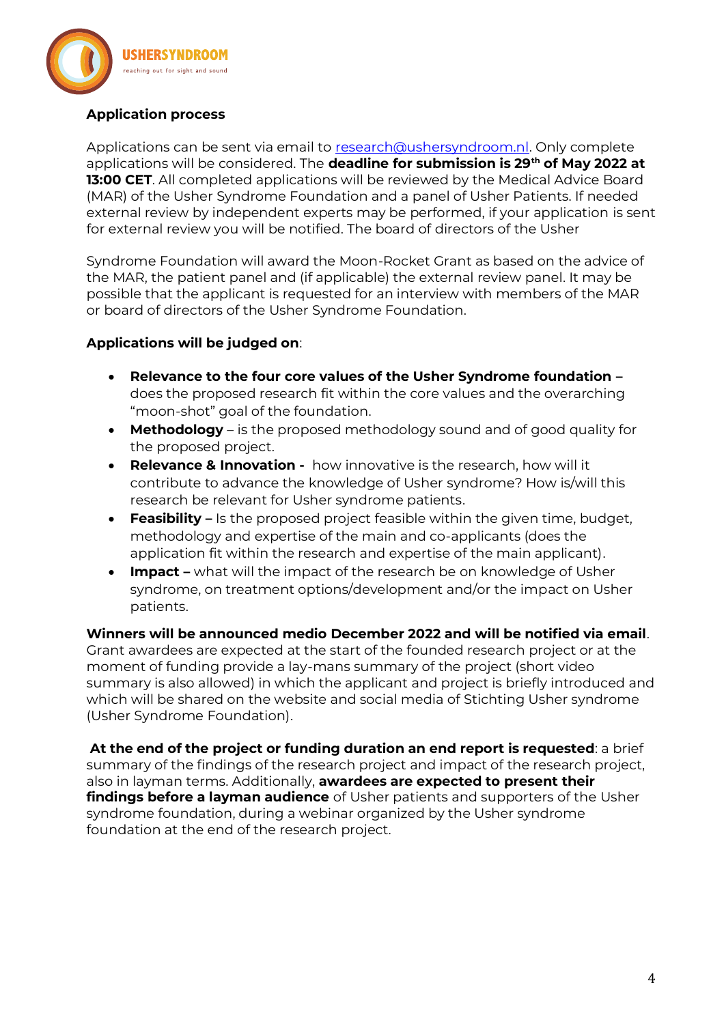

### **Application process**

Applications can be sent via email to [research@ushersyndroom.nl.](mailto:research@ushersyndroom.nl) Only complete applications will be considered. The **deadline for submission is 29th of May 2022 at 13:00 CET**. All completed applications will be reviewed by the Medical Advice Board (MAR) of the Usher Syndrome Foundation and a panel of Usher Patients. If needed external review by independent experts may be performed, if your application is sent for external review you will be notified. The board of directors of the Usher

Syndrome Foundation will award the Moon-Rocket Grant as based on the advice of the MAR, the patient panel and (if applicable) the external review panel. It may be possible that the applicant is requested for an interview with members of the MAR or board of directors of the Usher Syndrome Foundation.

### **Applications will be judged on**:

- **Relevance to the four core values of the Usher Syndrome foundation –** does the proposed research fit within the core values and the overarching "moon-shot" goal of the foundation.
- **Methodology**  is the proposed methodology sound and of good quality for the proposed project.
- **Relevance & Innovation -** how innovative is the research, how will it contribute to advance the knowledge of Usher syndrome? How is/will this research be relevant for Usher syndrome patients.
- **Feasibility –** Is the proposed project feasible within the given time, budget, methodology and expertise of the main and co-applicants (does the application fit within the research and expertise of the main applicant).
- **Impact –** what will the impact of the research be on knowledge of Usher syndrome, on treatment options/development and/or the impact on Usher patients.

**Winners will be announced medio December 2022 and will be notified via email**. Grant awardees are expected at the start of the founded research project or at the moment of funding provide a lay-mans summary of the project (short video summary is also allowed) in which the applicant and project is briefly introduced and which will be shared on the website and social media of Stichting Usher syndrome (Usher Syndrome Foundation).

**At the end of the project or funding duration an end report is requested**: a brief summary of the findings of the research project and impact of the research project, also in layman terms. Additionally, **awardees are expected to present their findings before a layman audience** of Usher patients and supporters of the Usher syndrome foundation, during a webinar organized by the Usher syndrome foundation at the end of the research project.